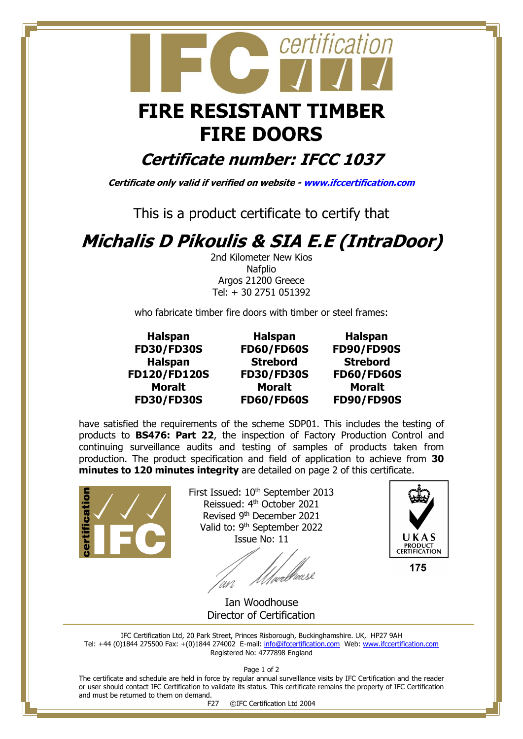

## **FIRE DOORS**

**Certificate number: IFCC 1037**

**Certificate only valid if verified on website - [www.ifccertification.com](http://www.ifccertification.com/)**

This is a product certificate to certify that

## **Michalis D Pikoulis & SIA E.E (IntraDoor)**

2nd Kilometer New Kios **Nafplio** Argos 21200 Greece Tel: + 30 2751 051392

who fabricate timber fire doors with timber or steel frames:

**Halspan FD30/FD30S Halspan FD120/FD120S Moralt FD30/FD30S**

**Halspan FD60/FD60S Strebord FD30/FD30S Moralt FD60/FD60S**

**Halspan FD90/FD90S Strebord FD60/FD60S Moralt FD90/FD90S**

have satisfied the requirements of the scheme SDP01. This includes the testing of products to **BS476: Part 22**, the inspection of Factory Production Control and continuing surveillance audits and testing of samples of products taken from production. The product specification and field of application to achieve from **30 minutes to 120 minutes integrity** are detailed on page 2 of this certificate.



First Issued: 10<sup>th</sup> September 2013 Reissued: 4<sup>th</sup> October 2021 Revised 9th December 2021 Valid to: 9<sup>th</sup> September 2022 Issue No: 11

//webbeuse



175

 Ian Woodhouse Director of Certification

IFC Certification Ltd, 20 Park Street, Princes Risborough, Buckinghamshire. UK, HP27 9AH Tel: +44 (0)1844 275500 Fax: +(0)1844 274002 E-mail: [info@ifccertification.com](mailto:info@ifccertification.com) Web: [www.ifccertification.com](http://www.ifccertification.com/) Registered No: 4777898 England

Page 1 of 2

The certificate and schedule are held in force by regular annual surveillance visits by IFC Certification and the reader or user should contact IFC Certification to validate its status. This certificate remains the property of IFC Certification and must be returned to them on demand.

F27 ©IFC Certification Ltd 2004